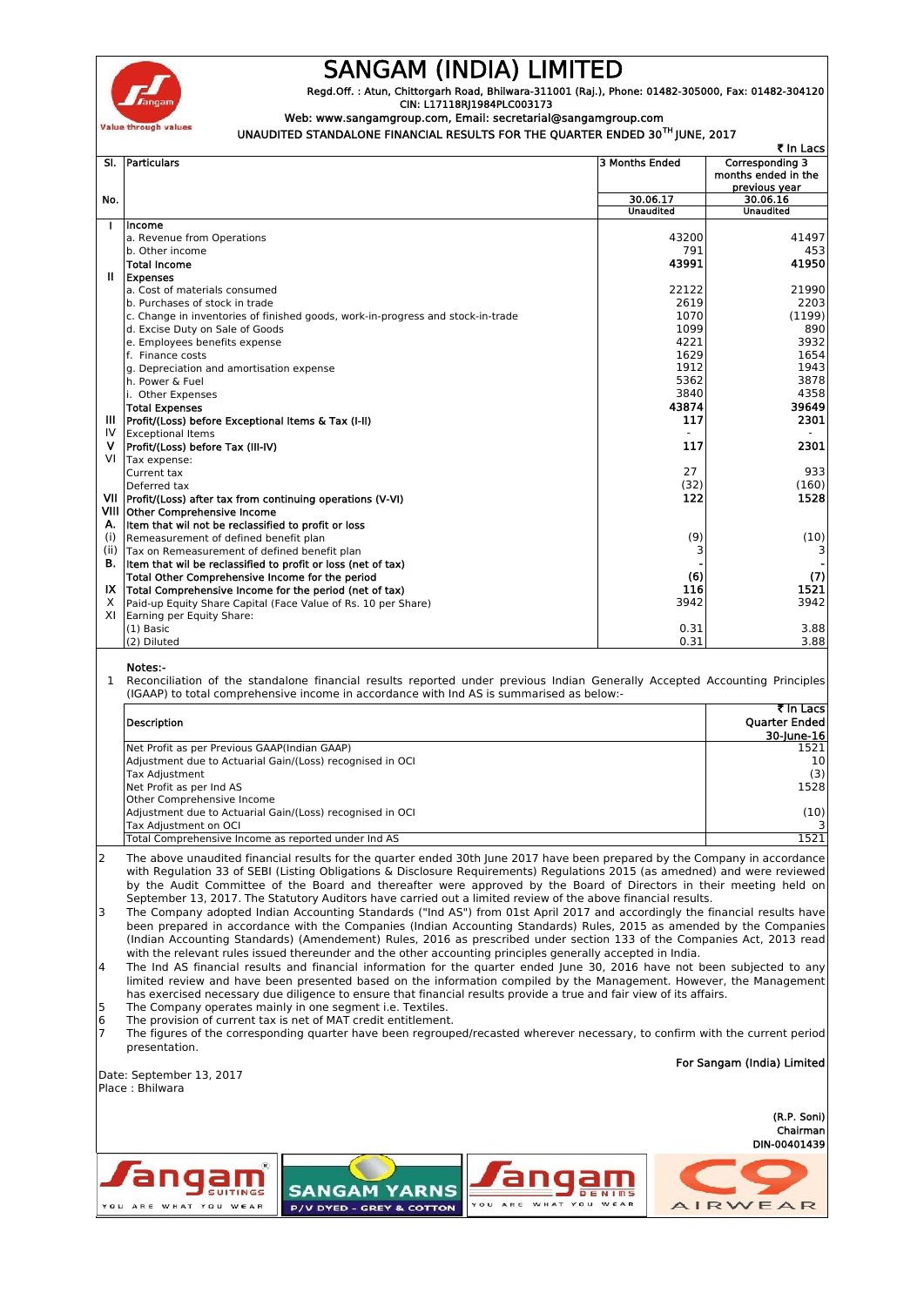

## **SANGAM (INDIA) LIMITED**

**Regd.Off. : Atun, Chittorgarh Road, Bhilwara-311001 (Raj.), Phone: 01482-305000, Fax: 01482-304120 CIN: L17118RJ1984PLC003173**

## **Web: www.sangamgroup.com, Email: secretarial@sangamgroup.com**

 **UNAUDITED STANDALONE FINANCIAL RESULTS FOR THE QUARTER ENDED 30TH JUNE, 2017**

|      | ₹ In Lacs                                                                       |                  |                                                         |  |  |
|------|---------------------------------------------------------------------------------|------------------|---------------------------------------------------------|--|--|
|      | SI. Particulars                                                                 | 3 Months Ended   | Corresponding 3<br>months ended in the<br>previous year |  |  |
| No.  |                                                                                 | 30.06.17         | 30.06.16                                                |  |  |
|      |                                                                                 | <b>Unaudited</b> | <b>Unaudited</b>                                        |  |  |
| ı    | Income                                                                          |                  |                                                         |  |  |
|      | a. Revenue from Operations                                                      | 43200            | 41497                                                   |  |  |
|      | b. Other income                                                                 | 791              | 453                                                     |  |  |
|      | <b>Total Income</b>                                                             | 43991            | 41950                                                   |  |  |
| Ш    | <b>Expenses</b>                                                                 |                  |                                                         |  |  |
|      | a. Cost of materials consumed                                                   | 22122            | 21990                                                   |  |  |
|      | b. Purchases of stock in trade                                                  | 2619             | 2203                                                    |  |  |
|      | c. Change in inventories of finished goods, work-in-progress and stock-in-trade | 1070             | (1199)                                                  |  |  |
|      | d. Excise Duty on Sale of Goods                                                 | 1099             | 890                                                     |  |  |
|      | e. Employees benefits expense                                                   | 4221             | 3932                                                    |  |  |
|      | f. Finance costs                                                                | 1629             | 1654                                                    |  |  |
|      | g. Depreciation and amortisation expense                                        | 1912             | 1943                                                    |  |  |
|      | h. Power & Fuel                                                                 | 5362             | 3878                                                    |  |  |
|      | i. Other Expenses                                                               | 3840             | 4358                                                    |  |  |
|      | <b>Total Expenses</b>                                                           | 43874            | 39649                                                   |  |  |
| Ш    | Profit/(Loss) before Exceptional Items & Tax (I-II)                             | 117              | 2301                                                    |  |  |
| IV   | <b>Exceptional Items</b>                                                        |                  |                                                         |  |  |
| v    | Profit/(Loss) before Tax (III-IV)                                               | 117              | 2301                                                    |  |  |
| VI   | Tax expense:                                                                    |                  |                                                         |  |  |
|      | Current tax                                                                     | 27               | 933                                                     |  |  |
|      | Deferred tax                                                                    | (32)             | (160)                                                   |  |  |
|      | VII   Profit/(Loss) after tax from continuing operations (V-VI)                 | 122              | 1528                                                    |  |  |
|      | VIII Other Comprehensive Income                                                 |                  |                                                         |  |  |
|      | A. Item that wil not be reclassified to profit or loss                          |                  |                                                         |  |  |
| (i)  | Remeasurement of defined benefit plan                                           | (9)              | (10)                                                    |  |  |
| (ii) | Tax on Remeasurement of defined benefit plan                                    | 3                |                                                         |  |  |
|      | B. Item that wil be reclassified to profit or loss (net of tax)                 |                  |                                                         |  |  |
|      | Total Other Comprehensive Income for the period                                 | (6)              | (7)                                                     |  |  |
| IX.  | Total Comprehensive Income for the period (net of tax)                          | 116              | 1521                                                    |  |  |
| X    | Paid-up Equity Share Capital (Face Value of Rs. 10 per Share)                   | 3942             | 3942                                                    |  |  |
| XI   | Earning per Equity Share:                                                       |                  |                                                         |  |  |
|      | $(1)$ Basic                                                                     | 0.31             | 3.88                                                    |  |  |
|      | (2) Diluted                                                                     | 0.31             | 3.88                                                    |  |  |

**Notes:-**

1 Reconciliation of the standalone financial results reported under previous Indian Generally Accepted Accounting Principles (IGAAP) to total comprehensive income in accordance with Ind AS is summarised as below:-

|                                                           | र In Lacs            |
|-----------------------------------------------------------|----------------------|
| <b>Description</b>                                        | <b>Quarter Ended</b> |
|                                                           | 30-June-16           |
| Net Profit as per Previous GAAP(Indian GAAP)              | 1521                 |
| Adjustment due to Actuarial Gain/(Loss) recognised in OCI | 10                   |
| <b>Tax Adjustment</b>                                     | (3)                  |
| Net Profit as per Ind AS                                  | 1528                 |
| Other Comprehensive Income                                |                      |
| Adjustment due to Actuarial Gain/(Loss) recognised in OCI | (10)                 |
| Tax Adiustment on OCI                                     |                      |
| Total Comprehensive Income as reported under Ind AS       | 1521                 |

2 The above unaudited financial results for the quarter ended 30th June 2017 have been prepared by the Company in accordance with Regulation 33 of SEBI (Listing Obligations & Disclosure Requirements) Regulations 2015 (as amedned) and were reviewed by the Audit Committee of the Board and thereafter were approved by the Board of Directors in their meeting held on September 13, 2017. The Statutory Auditors have carried out a limited review of the above financial results.

3 The Company adopted Indian Accounting Standards ("Ind AS") from 01st April 2017 and accordingly the financial results have been prepared in accordance with the Companies (Indian Accounting Standards) Rules, 2015 as amended by the Companies (Indian Accounting Standards) (Amendement) Rules, 2016 as prescribed under section 133 of the Companies Act, 2013 read with the relevant rules issued thereunder and the other accounting principles generally accepted in India.

4 The Ind AS financial results and financial information for the quarter ended June 30,2016 have not been subjected to any limited review and have been presented based on the information compiled by the Management. However, the Management has exercised necessary due diligence to ensure that financial results provide a true and fair view of its affairs.

5 The Company operates mainly in one segment i.e. Textiles.

6 The provision of current tax is net of MAT credit entitlement. 7 The figures of the corresponding quarter have been regrouped/recasted wherever necessary, to confirm with the current period presentation.

| Date: September 13, 2017<br>Place : Bhilwara          | For Sangam (India) Limited                      |                                        |                                         |
|-------------------------------------------------------|-------------------------------------------------|----------------------------------------|-----------------------------------------|
|                                                       |                                                 |                                        | (R.P. Soni)<br>Chairman<br>DIN-00401439 |
| Jangam<br><b>SUITINGS</b><br>YOU ARE<br>WHAT YOU WEAR | <b>SANGAM YARNS</b><br>P/V DYED - GREY & COTTON | ngam<br>DENIMS<br>WHAT YOU WEAR<br>YOU | AIRWEAR                                 |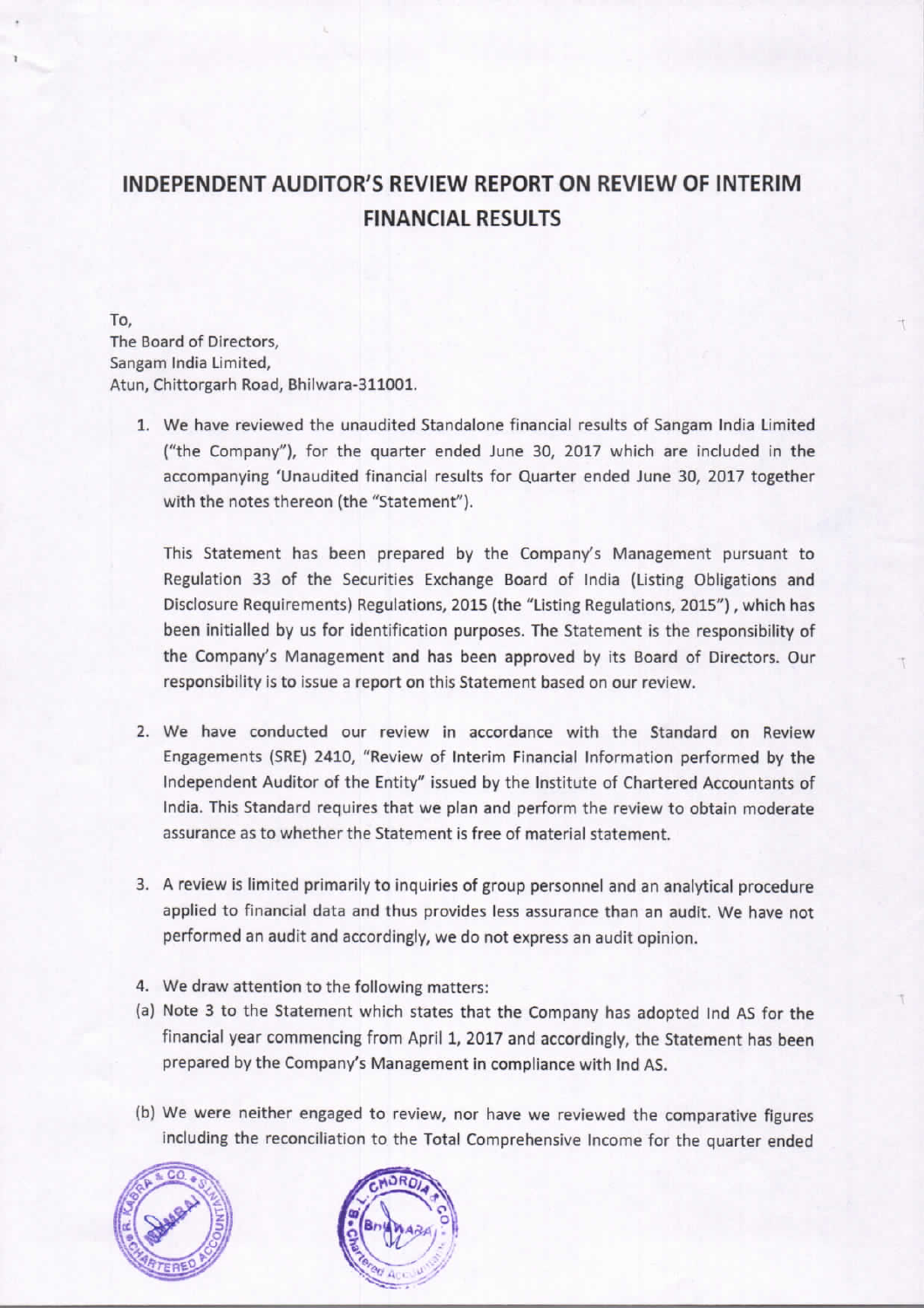## INDEPENDENT AUDITOR'S REVIEW REPORT ON REVIEW OF INTERIM **FINANCIAL RESULTS**

To. The Board of Directors. Sangam India Limited, Atun, Chittorgarh Road, Bhilwara-311001.

1. We have reviewed the unaudited Standalone financial results of Sangam India Limited ("the Company"), for the quarter ended June 30, 2017 which are included in the accompanying 'Unaudited financial results for Quarter ended June 30, 2017 together with the notes thereon (the "Statement").

This Statement has been prepared by the Company's Management pursuant to Regulation 33 of the Securities Exchange Board of India (Listing Obligations and Disclosure Requirements) Regulations, 2015 (the "Listing Regulations, 2015"), which has been initialled by us for identification purposes. The Statement is the responsibility of the Company's Management and has been approved by its Board of Directors. Our responsibility is to issue a report on this Statement based on our review.

- 2. We have conducted our review in accordance with the Standard on Review Engagements (SRE) 2410, "Review of Interim Financial Information performed by the Independent Auditor of the Entity" issued by the Institute of Chartered Accountants of India. This Standard requires that we plan and perform the review to obtain moderate assurance as to whether the Statement is free of material statement.
- 3. A review is limited primarily to inquiries of group personnel and an analytical procedure applied to financial data and thus provides less assurance than an audit. We have not performed an audit and accordingly, we do not express an audit opinion.
- 4. We draw attention to the following matters:
- (a) Note 3 to the Statement which states that the Company has adopted Ind AS for the financial year commencing from April 1, 2017 and accordingly, the Statement has been prepared by the Company's Management in compliance with Ind AS.
- (b) We were neither engaged to review, nor have we reviewed the comparative figures including the reconciliation to the Total Comprehensive Income for the quarter ended